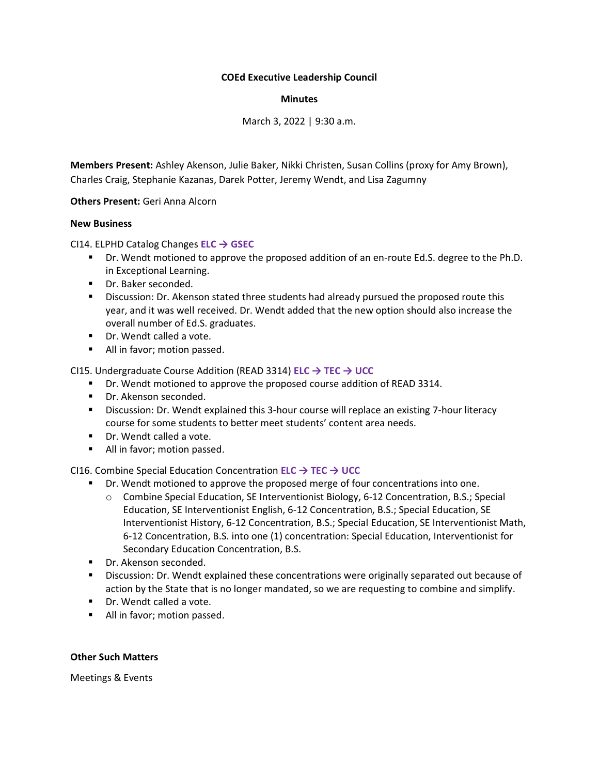## **COEd Executive Leadership Council**

## **Minutes**

March 3, 2022 | 9:30 a.m.

**Members Present:** Ashley Akenson, Julie Baker, Nikki Christen, Susan Collins (proxy for Amy Brown), Charles Craig, Stephanie Kazanas, Darek Potter, Jeremy Wendt, and Lisa Zagumny

**Others Present:** Geri Anna Alcorn

## **New Business**

CI14. ELPHD Catalog Changes **ELC → GSEC**

- Dr. Wendt motioned to approve the proposed addition of an en-route Ed.S. degree to the Ph.D. in Exceptional Learning.
- Dr. Baker seconded.
- Discussion: Dr. Akenson stated three students had already pursued the proposed route this year, and it was well received. Dr. Wendt added that the new option should also increase the overall number of Ed.S. graduates.
- Dr. Wendt called a vote.
- All in favor; motion passed.

CI15. Undergraduate Course Addition (READ 3314) **ELC → TEC → UCC**

- Dr. Wendt motioned to approve the proposed course addition of READ 3314.
- Dr. Akenson seconded.
- Discussion: Dr. Wendt explained this 3-hour course will replace an existing 7-hour literacy course for some students to better meet students' content area needs.
- Dr. Wendt called a vote.
- All in favor; motion passed.

CI16. Combine Special Education Concentration **ELC → TEC → UCC**

- Dr. Wendt motioned to approve the proposed merge of four concentrations into one.
	- o Combine Special Education, SE Interventionist Biology, 6-12 Concentration, B.S.; Special Education, SE Interventionist English, 6-12 Concentration, B.S.; Special Education, SE Interventionist History, 6-12 Concentration, B.S.; Special Education, SE Interventionist Math, 6-12 Concentration, B.S. into one (1) concentration: Special Education, Interventionist for Secondary Education Concentration, B.S.
- Dr. Akenson seconded.
- **EXECT** Discussion: Dr. Wendt explained these concentrations were originally separated out because of action by the State that is no longer mandated, so we are requesting to combine and simplify.
- Dr. Wendt called a vote.
- All in favor; motion passed.

## **Other Such Matters**

Meetings & Events